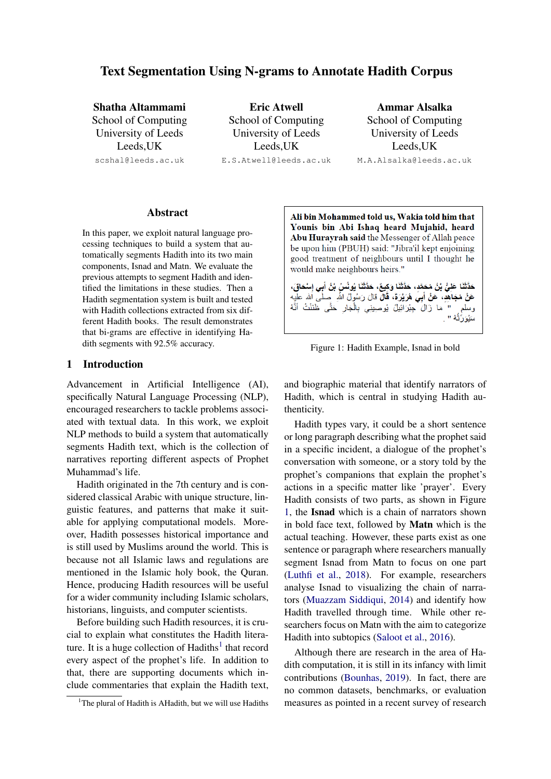# Text Segmentation Using N-grams to Annotate Hadith Corpus

Shatha Altammami School of Computing University of Leeds Leeds,UK scshal@leeds.ac.uk

Eric Atwell School of Computing University of Leeds Leeds,UK E.S.Atwell@leeds.ac.uk

Ammar Alsalka School of Computing University of Leeds Leeds,UK M.A.Alsalka@leeds.ac.uk

#### Abstract

In this paper, we exploit natural language processing techniques to build a system that automatically segments Hadith into its two main components, Isnad and Matn. We evaluate the previous attempts to segment Hadith and identified the limitations in these studies. Then a Hadith segmentation system is built and tested with Hadith collections extracted from six different Hadith books. The result demonstrates that bi-grams are effective in identifying Hadith segments with 92.5% accuracy.

# 1 Introduction

Advancement in Artificial Intelligence (AI), specifically Natural Language Processing (NLP), encouraged researchers to tackle problems associated with textual data. In this work, we exploit NLP methods to build a system that automatically segments Hadith text, which is the collection of narratives reporting different aspects of Prophet Muhammad's life.

Hadith originated in the 7th century and is considered classical Arabic with unique structure, linguistic features, and patterns that make it suitable for applying computational models. Moreover, Hadith possesses historical importance and is still used by Muslims around the world. This is because not all Islamic laws and regulations are mentioned in the Islamic holy book, the Quran. Hence, producing Hadith resources will be useful for a wider community including Islamic scholars, historians, linguists, and computer scientists.

Before building such Hadith resources, it is crucial to explain what constitutes the Hadith literature. It is a huge collection of  $Hadiths<sup>1</sup>$  $Hadiths<sup>1</sup>$  $Hadiths<sup>1</sup>$  that record every aspect of the prophet's life. In addition to that, there are supporting documents which include commentaries that explain the Hadith text,

<span id="page-0-1"></span>Ali bin Mohammed told us, Wakia told him that Younis bin Abi Ishaq heard Mujahid, heard Abu Hurayrah said the Messenger of Allah peace be upon him (PBUH) said: "Jibra'il kept enjoining good treatment of neighbours until I thought he would make neighbours heirs."

حَدَّثَنَا عَلِيٌّ بْنُ مُحَمَّدٍ، حَدَّثَنَا وَكِيعٌ، حَدَّثَنَا يُونُسُ بْنُ أَبِي إِسْحَاقَ، ٍ " مَا زَالَ جِبْرَائِيلُ يُوصِينِي بِالْجَارِ حَتَّى ظَنَنْتُ أَنَّهُ وسلم سَيُوَرُّثُهُ "

Figure 1: Hadith Example, Isnad in bold

and biographic material that identify narrators of Hadith, which is central in studying Hadith authenticity.

Hadith types vary, it could be a short sentence or long paragraph describing what the prophet said in a specific incident, a dialogue of the prophet's conversation with someone, or a story told by the prophet's companions that explain the prophet's actions in a specific matter like 'prayer'. Every Hadith consists of two parts, as shown in Figure [1,](#page-0-1) the Isnad which is a chain of narrators shown in bold face text, followed by Matn which is the actual teaching. However, these parts exist as one sentence or paragraph where researchers manually segment Isnad from Matn to focus on one part [\(Luthfi et al.,](#page-8-0) [2018\)](#page-8-0). For example, researchers analyse Isnad to visualizing the chain of narrators [\(Muazzam Siddiqui,](#page-8-1) [2014\)](#page-8-1) and identify how Hadith travelled through time. While other researchers focus on Matn with the aim to categorize Hadith into subtopics [\(Saloot et al.,](#page-8-2) [2016\)](#page-8-2).

Although there are research in the area of Hadith computation, it is still in its infancy with limit contributions [\(Bounhas,](#page-8-3) [2019\)](#page-8-3). In fact, there are no common datasets, benchmarks, or evaluation measures as pointed in a recent survey of research

<span id="page-0-0"></span><sup>&</sup>lt;sup>1</sup>The plural of Hadith is AHadith, but we will use Hadiths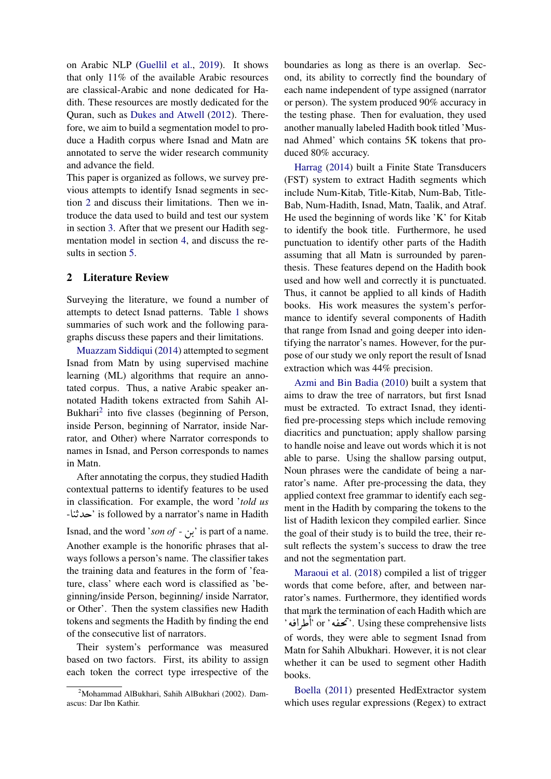on Arabic NLP [\(Guellil et al.,](#page-8-4) [2019\)](#page-8-4). It shows that only 11% of the available Arabic resources are classical-Arabic and none dedicated for Hadith. These resources are mostly dedicated for the Quran, such as [Dukes and Atwell](#page-8-5) [\(2012\)](#page-8-5). Therefore, we aim to build a segmentation model to produce a Hadith corpus where Isnad and Matn are annotated to serve the wider research community and advance the field.

This paper is organized as follows, we survey previous attempts to identify Isnad segments in section [2](#page-1-0) and discuss their limitations. Then we introduce the data used to build and test our system in section [3.](#page-3-0) After that we present our Hadith segmentation model in section [4,](#page-3-1) and discuss the results in section [5.](#page-7-0)

# <span id="page-1-0"></span>2 Literature Review

Surveying the literature, we found a number of attempts to detect Isnad patterns. Table [1](#page-2-0) shows summaries of such work and the following paragraphs discuss these papers and their limitations.

[Muazzam Siddiqui](#page-8-1) [\(2014\)](#page-8-1) attempted to segment Isnad from Matn by using supervised machine learning (ML) algorithms that require an annotated corpus. Thus, a native Arabic speaker annotated Hadith tokens extracted from Sahih Al-Bukhari<sup>[2](#page-1-1)</sup> into five classes (beginning of Person, inside Person, beginning of Narrator, inside Narrator, and Other) where Narrator corresponds to names in Isnad, and Person corresponds to names in Matn.

After annotating the corpus, they studied Hadith contextual patterns to identify features to be used in classification. For example, the word '*told us* In classification. To example, the word *told as*<br>Lie is followed by a narrator's name in Hadith  $\overline{\phantom{0}}$ .<br>.<br>.  $\frac{1}{2}$ Isnad, and the word '*son of* -  $\mu$ ' is part of a name. .

Another example is the honorific phrases that always follows a person's name. The classifier takes the training data and features in the form of 'feature, class' where each word is classified as 'beginning/inside Person, beginning/ inside Narrator, or Other'. Then the system classifies new Hadith tokens and segments the Hadith by finding the end of the consecutive list of narrators.

Their system's performance was measured based on two factors. First, its ability to assign each token the correct type irrespective of the boundaries as long as there is an overlap. Second, its ability to correctly find the boundary of each name independent of type assigned (narrator or person). The system produced 90% accuracy in the testing phase. Then for evaluation, they used another manually labeled Hadith book titled 'Musnad Ahmed' which contains 5K tokens that produced 80% accuracy.

[Harrag](#page-8-6) [\(2014\)](#page-8-6) built a Finite State Transducers (FST) system to extract Hadith segments which include Num-Kitab, Title-Kitab, Num-Bab, Title-Bab, Num-Hadith, Isnad, Matn, Taalik, and Atraf. He used the beginning of words like 'K' for Kitab to identify the book title. Furthermore, he used punctuation to identify other parts of the Hadith assuming that all Matn is surrounded by parenthesis. These features depend on the Hadith book used and how well and correctly it is punctuated. Thus, it cannot be applied to all kinds of Hadith books. His work measures the system's performance to identify several components of Hadith that range from Isnad and going deeper into identifying the narrator's names. However, for the purpose of our study we only report the result of Isnad extraction which was 44% precision.

[Azmi and Bin Badia](#page-8-7) [\(2010\)](#page-8-7) built a system that aims to draw the tree of narrators, but first Isnad must be extracted. To extract Isnad, they identified pre-processing steps which include removing diacritics and punctuation; apply shallow parsing to handle noise and leave out words which it is not able to parse. Using the shallow parsing output, Noun phrases were the candidate of being a narrator's name. After pre-processing the data, they applied context free grammar to identify each segment in the Hadith by comparing the tokens to the list of Hadith lexicon they compiled earlier. Since the goal of their study is to build the tree, their result reflects the system's success to draw the tree and not the segmentation part.

[Maraoui et al.](#page-8-8) [\(2018\)](#page-8-8) compiled a list of trigger words that come before, after, and between narrator's names. Furthermore, they identified words that mark the termination of each Hadith which are that mark the termination or each Hadith which are<br>`مغضه ' or ' أطرافه' . Using these comprehensive lists ć<br>. .<br>ءا  $\overline{a}$  $\mathbf{r}$ of words, they were able to segment Isnad from Matn for Sahih Albukhari. However, it is not clear whether it can be used to segment other Hadith books.

[Boella](#page-8-9) [\(2011\)](#page-8-9) presented HedExtractor system which uses regular expressions (Regex) to extract

<span id="page-1-1"></span> $2^2$ Mohammad AlBukhari, Sahih AlBukhari (2002). Damascus: Dar Ibn Kathir.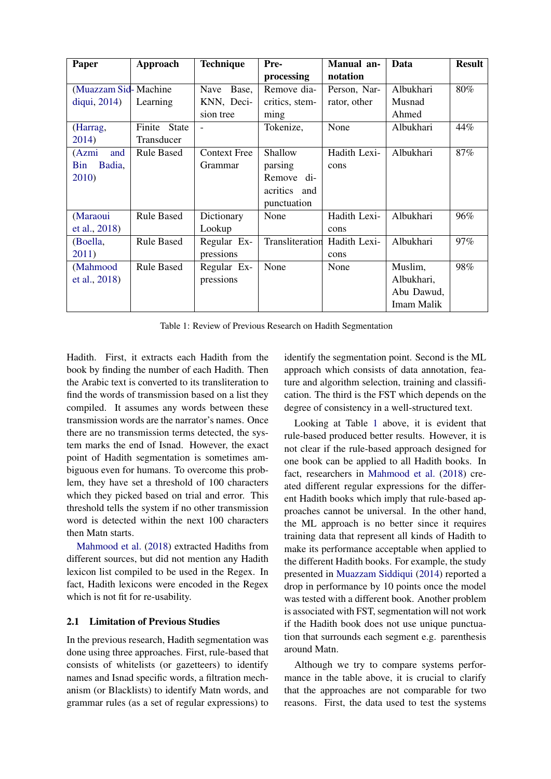<span id="page-2-0"></span>

| Paper                 | Approach          | <b>Technique</b>    | Pre-                         | Manual an-   | Data       | <b>Result</b> |
|-----------------------|-------------------|---------------------|------------------------------|--------------|------------|---------------|
|                       |                   |                     | processing                   | notation     |            |               |
| (Muazzam Sid-Machine) |                   | Base,<br>Nave       | Remove dia-                  | Person, Nar- | Albukhari  | 80%           |
| diqui, 2014)          | Learning          | KNN, Deci-          | critics, stem-               | rator, other | Musnad     |               |
|                       |                   | sion tree           | ming                         |              | Ahmed      |               |
| (Harrag,              | Finite State      |                     | Tokenize,                    | None         | Albukhari  | 44%           |
| 2014)                 | Transducer        |                     |                              |              |            |               |
| and<br>(Azmi)         | <b>Rule Based</b> | <b>Context Free</b> | Shallow                      | Hadith Lexi- | Albukhari  | 87%           |
| Bin<br>Badia,         |                   | Grammar             | parsing                      | cons         |            |               |
| 2010)                 |                   |                     | Remove di-                   |              |            |               |
|                       |                   |                     | acritics and                 |              |            |               |
|                       |                   |                     | punctuation                  |              |            |               |
| (Maraoui              | <b>Rule Based</b> | Dictionary          | None                         | Hadith Lexi- | Albukhari  | 96%           |
| et al., 2018)         |                   | Lookup              |                              | cons         |            |               |
| (Boella,              | <b>Rule Based</b> | Regular Ex-         | Transliteration Hadith Lexi- |              | Albukhari  | 97%           |
| 2011)                 |                   | pressions           |                              | cons         |            |               |
| (Mahmood              | <b>Rule Based</b> | Regular Ex-         | None                         | None         | Muslim,    | 98%           |
| et al., 2018)         |                   | pressions           |                              |              | Albukhari, |               |
|                       |                   |                     |                              |              | Abu Dawud, |               |
|                       |                   |                     |                              |              | Imam Malik |               |

Table 1: Review of Previous Research on Hadith Segmentation

Hadith. First, it extracts each Hadith from the book by finding the number of each Hadith. Then the Arabic text is converted to its transliteration to find the words of transmission based on a list they compiled. It assumes any words between these transmission words are the narrator's names. Once there are no transmission terms detected, the system marks the end of Isnad. However, the exact point of Hadith segmentation is sometimes ambiguous even for humans. To overcome this problem, they have set a threshold of 100 characters which they picked based on trial and error. This threshold tells the system if no other transmission word is detected within the next 100 characters then Matn starts.

[Mahmood et al.](#page-8-10) [\(2018\)](#page-8-10) extracted Hadiths from different sources, but did not mention any Hadith lexicon list compiled to be used in the Regex. In fact, Hadith lexicons were encoded in the Regex which is not fit for re-usability.

# 2.1 Limitation of Previous Studies

In the previous research, Hadith segmentation was done using three approaches. First, rule-based that consists of whitelists (or gazetteers) to identify names and Isnad specific words, a filtration mechanism (or Blacklists) to identify Matn words, and grammar rules (as a set of regular expressions) to identify the segmentation point. Second is the ML approach which consists of data annotation, feature and algorithm selection, training and classification. The third is the FST which depends on the degree of consistency in a well-structured text.

Looking at Table [1](#page-2-0) above, it is evident that rule-based produced better results. However, it is not clear if the rule-based approach designed for one book can be applied to all Hadith books. In fact, researchers in [Mahmood et al.](#page-8-10) [\(2018\)](#page-8-10) created different regular expressions for the different Hadith books which imply that rule-based approaches cannot be universal. In the other hand, the ML approach is no better since it requires training data that represent all kinds of Hadith to make its performance acceptable when applied to the different Hadith books. For example, the study presented in [Muazzam Siddiqui](#page-8-1) [\(2014\)](#page-8-1) reported a drop in performance by 10 points once the model was tested with a different book. Another problem is associated with FST, segmentation will not work if the Hadith book does not use unique punctuation that surrounds each segment e.g. parenthesis around Matn.

Although we try to compare systems performance in the table above, it is crucial to clarify that the approaches are not comparable for two reasons. First, the data used to test the systems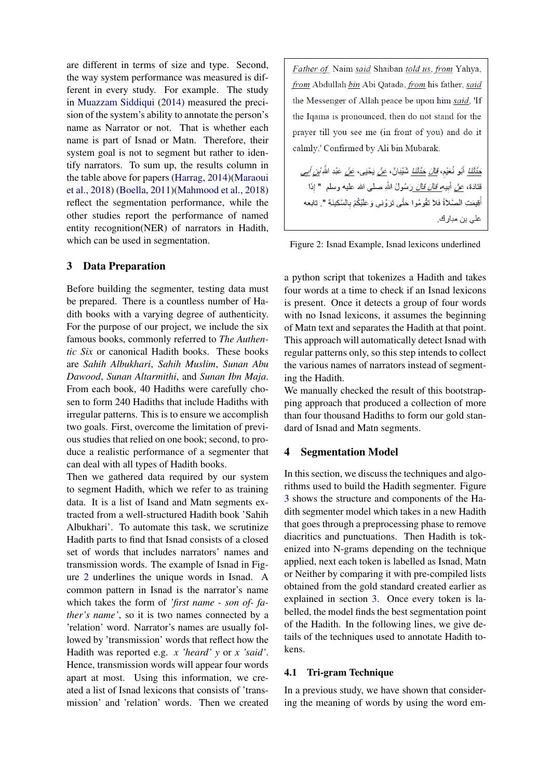are different in terms of size and type. Second, the way system performance was measured is different in every study. For example. The study in [Muazzam Siddiqui](#page-8-1) [\(2014\)](#page-8-1) measured the precision of the system's ability to annotate the person's name as Narrator or not. That is whether each name is part of Isnad or Matn. Therefore, their system goal is not to segment but rather to identify narrators. To sum up, the results column in the table above for papers [\(Harrag,](#page-8-6) [2014\)](#page-8-6)[\(Maraoui](#page-8-8) [et al.,](#page-8-8) [2018\)](#page-8-8) [\(Boella,](#page-8-9) [2011\)](#page-8-9)[\(Mahmood et al.,](#page-8-10) [2018\)](#page-8-10) reflect the segmentation performance, while the other studies report the performance of named entity recognition(NER) of narrators in Hadith, which can be used in segmentation.

# <span id="page-3-0"></span>3 Data Preparation

Before building the segmenter, testing data must be prepared. There is a countless number of Hadith books with a varying degree of authenticity. For the purpose of our project, we include the six famous books, commonly referred to *The Authentic Six* or canonical Hadith books. These books are *Sahih Albukhari*, *Sahih Muslim*, *Sunan Abu Dawood*, *Sunan Altarmithi*, and *Sunan Ibn Maja*. From each book, 40 Hadiths were carefully chosen to form 240 Hadiths that include Hadiths with irregular patterns. This is to ensure we accomplish two goals. First, overcome the limitation of previous studies that relied on one book; second, to produce a realistic performance of a segmenter that can deal with all types of Hadith books.

Then we gathered data required by our system to segment Hadith, which we refer to as training data. It is a list of Isand and Matn segments extracted from a well-structured Hadith book 'Sahih Albukhari'. To automate this task, we scrutinize Hadith parts to find that Isnad consists of a closed set of words that includes narrators' names and transmission words. The example of Isnad in Figure [2](#page-3-2) underlines the unique words in Isnad. A common pattern in Isnad is the narrator's name which takes the form of *'first name - son of- father's name'*, so it is two names connected by a 'relation' word. Narrator's names are usually followed by 'transmission' words that reflect how the Hadith was reported e.g. *x 'heard' y* or *x 'said'*. Hence, transmission words will appear four words apart at most. Using this information, we created a list of Isnad lexicons that consists of 'transmission' and 'relation' words. Then we created

<span id="page-3-2"></span>Father of Naim said Shaiban told us, from Yahya, from Abdullah bin Abi Qatada, from his father, said the Messenger of Allah peace be upon him said, 'If the Iqama is pronounced, then do not stand for the prayer till you see me (in front of you) and do it calmly.' Confirmed by Ali bin Mubarak.

حَ*دَّثَنَا* أَبُو نُعَيْم، *قَالَ حَدَّثَنَا* شَيْبَانُ، صَ*نْ* يَحْيَى، صَ*نْ* عَبْدِ الثَّ*ّهِ بْنِ أبي* قَتَادَةَ، عَ*نْ* أَبِيهِ *قَالَ قَالَ* رَسُولُ اللَّهِ صلَّى الله عليه وسلَّم " إذَا أُقِيمَتِ الصَّلاَّةُ فَلاَ تَقُومُوا حَتَّى تَرَوْنِي وَعَلَيْكُمْ بِالسَّكِينَةِ ". تابعه على بن مبارك.

Figure 2: Isnad Example, Isnad lexicons underlined

a python script that tokenizes a Hadith and takes four words at a time to check if an Isnad lexicons is present. Once it detects a group of four words with no Isnad lexicons, it assumes the beginning of Matn text and separates the Hadith at that point. This approach will automatically detect Isnad with regular patterns only, so this step intends to collect the various names of narrators instead of segmenting the Hadith.

We manually checked the result of this bootstrapping approach that produced a collection of more than four thousand Hadiths to form our gold standard of Isnad and Matn segments.

#### <span id="page-3-1"></span>4 Segmentation Model

In this section, we discuss the techniques and algorithms used to build the Hadith segmenter. Figure [3](#page-4-0) shows the structure and components of the Hadith segmenter model which takes in a new Hadith that goes through a preprocessing phase to remove diacritics and punctuations. Then Hadith is tokenized into N-grams depending on the technique applied, next each token is labelled as Isnad, Matn or Neither by comparing it with pre-compiled lists obtained from the gold standard created earlier as explained in section [3.](#page-3-0) Once every token is labelled, the model finds the best segmentation point of the Hadith. In the following lines, we give details of the techniques used to annotate Hadith tokens.

#### 4.1 Tri-gram Technique

In a previous study, we have shown that considering the meaning of words by using the word em-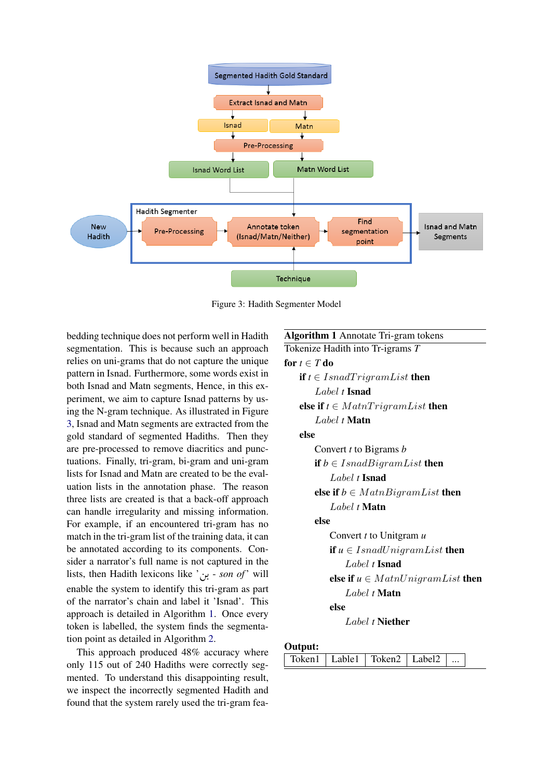<span id="page-4-0"></span>

Figure 3: Hadith Segmenter Model

bedding technique does not perform well in Hadith segmentation. This is because such an approach relies on uni-grams that do not capture the unique pattern in Isnad. Furthermore, some words exist in both Isnad and Matn segments, Hence, in this experiment, we aim to capture Isnad patterns by using the N-gram technique. As illustrated in Figure [3,](#page-4-0) Isnad and Matn segments are extracted from the gold standard of segmented Hadiths. Then they are pre-processed to remove diacritics and punctuations. Finally, tri-gram, bi-gram and uni-gram lists for Isnad and Matn are created to be the evaluation lists in the annotation phase. The reason three lists are created is that a back-off approach can handle irregularity and missing information. For example, if an encountered tri-gram has no match in the tri-gram list of the training data, it can be annotated according to its components. Consider a narrator's full name is not captured in the sider a narrator s full name is not captured in the<br>lists, then Hadith lexicons like '<sub>d</sub>' - *son of*' will . enable the system to identify this tri-gram as part of the narrator's chain and label it 'Isnad'. This approach is detailed in Algorithm [1.](#page-4-1) Once every token is labelled, the system finds the segmentation point as detailed in Algorithm [2.](#page-5-0)

This approach produced 48% accuracy where only 115 out of 240 Hadiths were correctly segmented. To understand this disappointing result, we inspect the incorrectly segmented Hadith and found that the system rarely used the tri-gram fea-

# <span id="page-4-1"></span>Algorithm 1 Annotate Tri-gram tokens Tokenize Hadith into Tr-igrams *T* for  $t \in T$  do **if**  $t \in \text{IsnadTrigramList}$  then Label *t* Isnad else if  $t \in MathTrigramList$  then Label *t* Matn else Convert *t* to Bigrams *b* if  $b \in IsnadBigramList$  then Label *t* Isnad else if  $b \in MathBinaryList$  then Label *t* Matn else Convert *t* to Unitgram *u* if  $u \in IsnadUnigramList$  then Label *t* Isnad else if  $u \in MathUnigramList$  then Label *t* Matn else Label *t* Niether

# Output:

| $\text{Token1}$   Lable1   $\text{Token2}$   Label2 |
|-----------------------------------------------------|
|-----------------------------------------------------|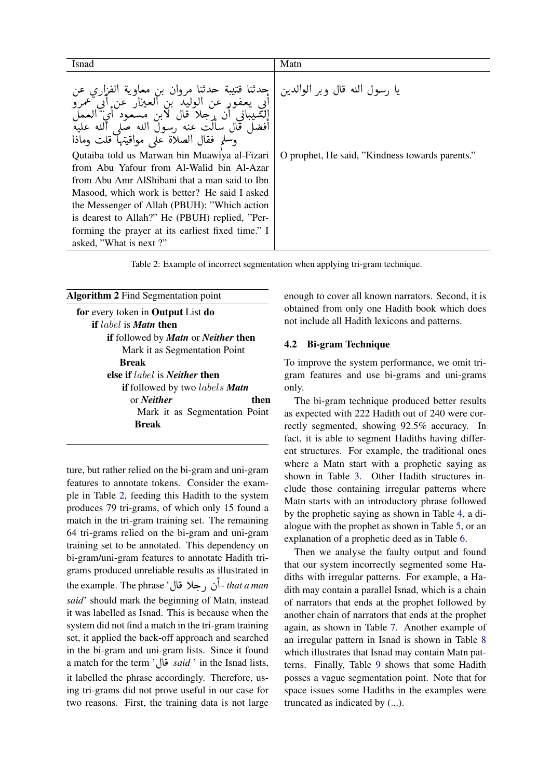<span id="page-5-1"></span>

| Isnad                                                                                                                                                                                                                      | Matn                                            |
|----------------------------------------------------------------------------------------------------------------------------------------------------------------------------------------------------------------------------|-------------------------------------------------|
| جِدثنا قتيبة حدثنا مروان بن معاوية الفزاري<br>ابي يعفور عن الوليد بن<br>العيزار عن ابي عمرو<br>الشَّيباني ان حلا قال لابن مسعود<br>افضل قال سالت عنه ,سول الله صلى<br>ألله عليه<br>وسلم فقال الصلاة على مواقيتها قلت وماذا | يا رسول الله قال وبر الوالدين                   |
| Qutaiba told us Marwan bin Muawiya al-Fizari                                                                                                                                                                               | O prophet, He said, "Kindness towards parents." |
| from Abu Yafour from Al-Walid bin Al-Azar                                                                                                                                                                                  |                                                 |
| from Abu Amr Alshibani that a man said to Ibn                                                                                                                                                                              |                                                 |
| Masood, which work is better? He said I asked                                                                                                                                                                              |                                                 |
| the Messenger of Allah (PBUH): "Which action                                                                                                                                                                               |                                                 |
| is dearest to Allah?" He (PBUH) replied, "Per-                                                                                                                                                                             |                                                 |
| forming the prayer at its earliest fixed time." I                                                                                                                                                                          |                                                 |
| asked, "What is next?"                                                                                                                                                                                                     |                                                 |

Table 2: Example of incorrect segmentation when applying tri-gram technique.

<span id="page-5-0"></span>

| <b>Algorithm 2</b> Find Segmentation point          |
|-----------------------------------------------------|
| for every token in <b>Output</b> List <b>do</b>     |
| <b>if</b> label is <b>Matn</b> then                 |
| if followed by <i>Matn</i> or <i>Neither</i> then   |
| Mark it as Segmentation Point                       |
| Break                                               |
| else if <i>label</i> is <i>Neither</i> then         |
| <b>if</b> followed by two <i>labels <b>Matn</b></i> |
| or <i>Neither</i><br>then                           |
| Mark it as Segmentation Point                       |
| Break                                               |
|                                                     |

ture, but rather relied on the bi-gram and uni-gram features to annotate tokens. Consider the example in Table [2,](#page-5-1) feeding this Hadith to the system produces 79 tri-grams, of which only 15 found a match in the tri-gram training set. The remaining 64 tri-grams relied on the bi-gram and uni-gram training set to be annotated. This dependency on bi-gram/uni-gram features to annotate Hadith trigrams produced unreliable results as illustrated in grams produced unreliable results as illustrated in<br>the example. The phrase ' أن , جلا قال ' *that a man* ;<br>. ز<br>ء *said*' should mark the beginning of Matn, instead it was labelled as Isnad. This is because when the system did not find a match in the tri-gram training set, it applied the back-off approach and searched in the bi-gram and uni-gram lists. Since it found in the bi-gram and uni-gram lists. Since it found<br>a match for the term '**b** *said*' in the Isnad lists, it labelled the phrase accordingly. Therefore, using tri-grams did not prove useful in our case for two reasons. First, the training data is not large enough to cover all known narrators. Second, it is obtained from only one Hadith book which does not include all Hadith lexicons and patterns.

# 4.2 Bi-gram Technique

To improve the system performance, we omit trigram features and use bi-grams and uni-grams only.

The bi-gram technique produced better results as expected with 222 Hadith out of 240 were correctly segmented, showing 92.5% accuracy. In fact, it is able to segment Hadiths having different structures. For example, the traditional ones where a Matn start with a prophetic saying as shown in Table [3.](#page-6-0) Other Hadith structures include those containing irregular patterns where Matn starts with an introductory phrase followed by the prophetic saying as shown in Table [4,](#page-6-0) a dialogue with the prophet as shown in Table [5,](#page-6-0) or an explanation of a prophetic deed as in Table [6.](#page-6-0)

Then we analyse the faulty output and found that our system incorrectly segmented some Hadiths with irregular patterns. For example, a Hadith may contain a parallel Isnad, which is a chain of narrators that ends at the prophet followed by another chain of narrators that ends at the prophet again, as shown in Table [7.](#page-7-1) Another example of an irregular pattern in Isnad is shown in Table [8](#page-7-1) which illustrates that Isnad may contain Matn patterns. Finally, Table [9](#page-7-1) shows that some Hadith posses a vague segmentation point. Note that for space issues some Hadiths in the examples were truncated as indicated by (...).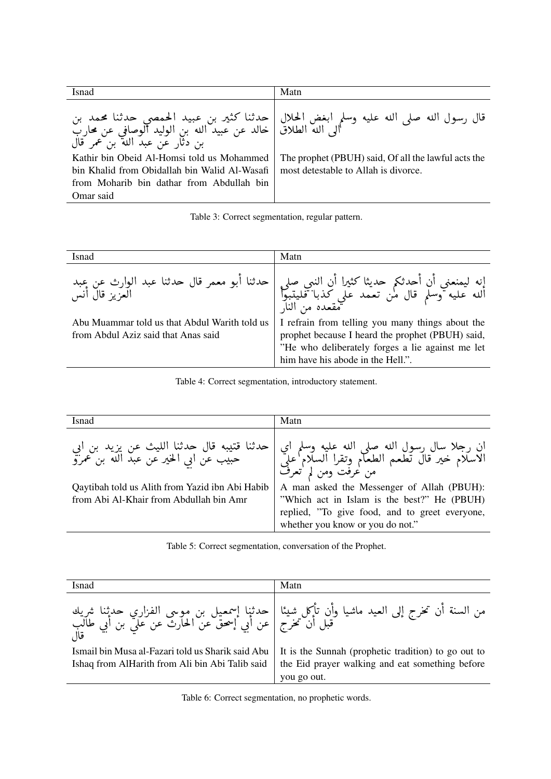<span id="page-6-0"></span>

| Isnad                                                                                                                                                 | Matn                                                                                                                                                     |
|-------------------------------------------------------------------------------------------------------------------------------------------------------|----------------------------------------------------------------------------------------------------------------------------------------------------------|
| بن دثار عن عبد الله بن عمر قال                                                                                                                        | قال رسول الله صلى الله عليه وسلم ابغض الحلال   حدثنا كثير بن عبيد الحمصي حدثنا محمد بن<br>الى الله الطلاق   خالد عن عبيد الله بن الوليد الوصافي عن محارب |
| Kathir bin Obeid Al-Homsi told us Mohammed<br>bin Khalid from Obidallah bin Walid Al-Wasafi<br>from Moharib bin dathar from Abdullah bin<br>Omar said | The prophet (PBUH) said, Of all the lawful acts the<br>most detestable to Allah is divorce.                                                              |

|  |  | Table 3: Correct segmentation, regular pattern. |  |
|--|--|-------------------------------------------------|--|
|--|--|-------------------------------------------------|--|

| Isnad                                                                                | Matn                                                                                                                                                                                          |
|--------------------------------------------------------------------------------------|-----------------------------------------------------------------------------------------------------------------------------------------------------------------------------------------------|
|                                                                                      | إنه ليمنعني أن أحدثكم حديثا كثيرا أن النبي صلى   حدثنا أبو معمر قال حدثنا عبد الوارث عن عبد<br>الله عليه وسلم قال من تعمد علي كذبا فليتبوأ  <br>مقعده من النار                                |
| Abu Muammar told us that Abdul Warith told us<br>from Abdul Aziz said that Anas said | I refrain from telling you many things about the<br>prophet because I heard the prophet (PBUH) said,<br>"He who deliberately forges a lie against me let<br>him have his abode in the Hell.". |

Table 4: Correct segmentation, introductory statement.

| Isnad                                                                                                                                                                             | Matn                                                                                                                                                                                                                                                                                                  |
|-----------------------------------------------------------------------------------------------------------------------------------------------------------------------------------|-------------------------------------------------------------------------------------------------------------------------------------------------------------------------------------------------------------------------------------------------------------------------------------------------------|
| حدثنا قتيبه قال حدثنا الليث عن يزيد بن ابي<br>حبيب عن ابي الخير عن عبد الله بن عمرو<br>Qaytibah told us Alith from Yazid ibn Abi Habib<br>from Abi Al-Khair from Abdullah bin Amr | ان رجلا سال رسول الله صلى الله عليه وسلم اي<br>الاسلام خير قال تطعم الطعام وتقرا السلام على<br>من عرفت ومن لم تعرف<br>A man asked the Messenger of Allah (PBUH):<br>"Which act in Islam is the best?" He (PBUH)<br>replied, "To give food, and to greet everyone,<br>whether you know or you do not." |

Table 5: Correct segmentation, conversation of the Prophet.

| Isnad                                                                                                | Matn                                                                                                                  |
|------------------------------------------------------------------------------------------------------|-----------------------------------------------------------------------------------------------------------------------|
|                                                                                                      |                                                                                                                       |
| Ismail bin Musa al-Fazari told us Sharik said Abu<br>Ishaq from AlHarith from Ali bin Abi Talib said | It is the Sunnah (prophetic tradition) to go out to<br>the Eid prayer walking and eat something before<br>you go out. |

Table 6: Correct segmentation, no prophetic words.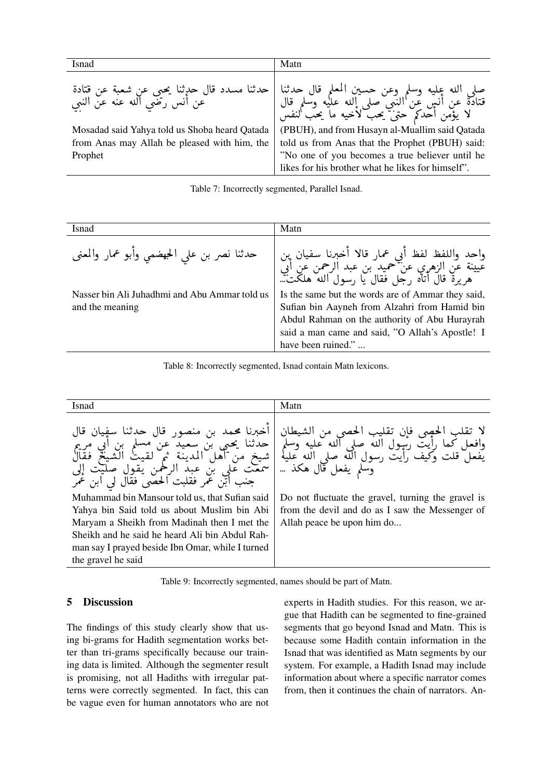<span id="page-7-1"></span>

| Isnad                                                                                   | Matn                                                                                                                                        |
|-----------------------------------------------------------------------------------------|---------------------------------------------------------------------------------------------------------------------------------------------|
| حدثنا مسدد قال حدثنا يحيى عن شعبة عن قتادة<br>  حدثنا مسدد قال سن رضي الله عنه عن النبي | صلى الله عليه وسلم وعن حسين المعلم قال حدثنا  <br>قتادة عن أنس عن النبي صلى الله عليه وسلم قال  <br>لا يؤمن أحدكم حتى يحب لأخيه ما يحب انفس |
| Mosadad said Yahya told us Shoba heard Qatada                                           | (PBUH), and from Husayn al-Muallim said Qatada                                                                                              |
| from Anas may Allah be pleased with him, the                                            | told us from Anas that the Prophet (PBUH) said:                                                                                             |
| Prophet                                                                                 | "No one of you becomes a true believer until he                                                                                             |
|                                                                                         | likes for his brother what he likes for himself".                                                                                           |

Table 7: Incorrectly segmented, Parallel Isnad.

| Isnad                                                            | Matn                                                                                                                                                                                                                         |
|------------------------------------------------------------------|------------------------------------------------------------------------------------------------------------------------------------------------------------------------------------------------------------------------------|
| حدثنا نصر بن على الحبضمي وأبو عمار والمعنى                       | واحد واللفظ لفظ أبي عمار قالا أخبرنا سفيان بن<br>عيينة عن الزهري عن حميد بن عبد الرحمن عن أبي<br>هريرة قال أتاه رجل فقال يا رسول الله هلكت                                                                                   |
| Nasser bin Ali Juhadhmi and Abu Ammar told us<br>and the meaning | Is the same but the words are of Ammar they said,<br>Sufian bin Aayneh from Alzahri from Hamid bin<br>Abdul Rahman on the authority of Abu Hurayrah<br>said a man came and said, "O Allah's Apostle! I<br>have been ruined." |

Table 8: Incorrectly segmented, Isnad contain Matn lexicons.



Table 9: Incorrectly segmented, names should be part of Matn.

#### <span id="page-7-0"></span>5 **Discussion**

The findings of this study clearly show that using bi-grams for Hadith segmentation works better than tri-grams specifically because our training data is limited. Although the segmenter result is promising, not all Hadiths with irregular patterns were correctly segmented. In fact, this can be vague even for human annotators who are not experts in Hadith studies. For this reason, we argue that Hadith can be segmented to fine-grained segments that go beyond Isnad and Matn. This is because some Hadith contain information in the Isnad that was identified as Matn segments by our system. For example, a Hadith Isnad may include information about where a specific narrator comes from, then it continues the chain of narrators. An